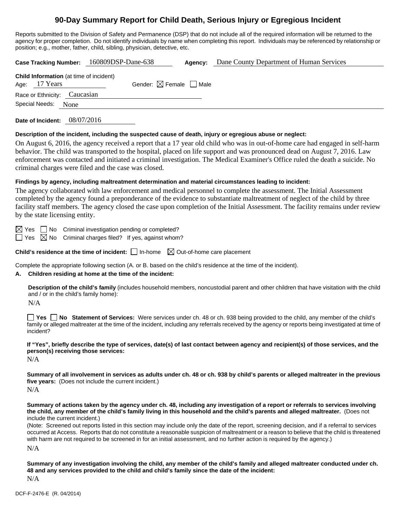# **90-Day Summary Report for Child Death, Serious Injury or Egregious Incident**

Reports submitted to the Division of Safety and Permanence (DSP) that do not include all of the required information will be returned to the agency for proper completion. Do not identify individuals by name when completing this report. Individuals may be referenced by relationship or position; e.g., mother, father, child, sibling, physician, detective, etc.

| 160809DSP-Dane-638<br>Dane County Department of Human Services<br><b>Case Tracking Number:</b><br>Agency:                                                                                                                                                                                                                                                                                                                                            |  |  |  |  |  |
|------------------------------------------------------------------------------------------------------------------------------------------------------------------------------------------------------------------------------------------------------------------------------------------------------------------------------------------------------------------------------------------------------------------------------------------------------|--|--|--|--|--|
| Child Information (at time of incident)<br>Gender: $\boxtimes$ Female $\Box$ Male<br>Age: 17 Years                                                                                                                                                                                                                                                                                                                                                   |  |  |  |  |  |
| Race or Ethnicity: Caucasian                                                                                                                                                                                                                                                                                                                                                                                                                         |  |  |  |  |  |
| Special Needs:<br>None                                                                                                                                                                                                                                                                                                                                                                                                                               |  |  |  |  |  |
| Date of Incident: 08/07/2016                                                                                                                                                                                                                                                                                                                                                                                                                         |  |  |  |  |  |
| Description of the incident, including the suspected cause of death, injury or egregious abuse or neglect:                                                                                                                                                                                                                                                                                                                                           |  |  |  |  |  |
| On August 6, 2016, the agency received a report that a 17 year old child who was in out-of-home care had engaged in self-harm<br>behavior. The child was transported to the hospital, placed on life support and was pronounced dead on August 7, 2016. Law<br>enforcement was contacted and initiated a criminal investigation. The Medical Examiner's Office ruled the death a suicide. No<br>criminal charges were filed and the case was closed. |  |  |  |  |  |
| Findings by agency, including maltreatment determination and material circumstances leading to incident:                                                                                                                                                                                                                                                                                                                                             |  |  |  |  |  |
| The agency collaborated with law enforcement and medical personnel to complete the assessment. The Initial Assessment<br>the contract of the contract of the contract of the contract of the contract of the contract of the contract of                                                                                                                                                                                                             |  |  |  |  |  |

completed by the agency found a preponderance of the evidence to substantiate maltreatment of neglect of the child by three facility staff members. The agency closed the case upon completion of the Initial Assessment. The facility remains under review by the state licensing entity.

 $\boxtimes$  Yes  $\Box$  No Criminal investigation pending or completed?

 $\Box$  Yes  $\boxtimes$  No Criminal charges filed? If yes, against whom?

**Child's residence at the time of incident:**  $\Box$  In-home  $\Box$  Out-of-home care placement

Complete the appropriate following section (A. or B. based on the child's residence at the time of the incident).

### **A. Children residing at home at the time of the incident:**

**Description of the child's family** (includes household members, noncustodial parent and other children that have visitation with the child and / or in the child's family home):

N/A

**Yes No Statement of Services:** Were services under ch. 48 or ch. 938 being provided to the child, any member of the child's family or alleged maltreater at the time of the incident, including any referrals received by the agency or reports being investigated at time of incident?

**If "Yes", briefly describe the type of services, date(s) of last contact between agency and recipient(s) of those services, and the person(s) receiving those services:** 

N/A

**Summary of all involvement in services as adults under ch. 48 or ch. 938 by child's parents or alleged maltreater in the previous five years:** (Does not include the current incident.)

 $N/A$ 

**Summary of actions taken by the agency under ch. 48, including any investigation of a report or referrals to services involving the child, any member of the child's family living in this household and the child's parents and alleged maltreater.** (Does not include the current incident.)

(Note: Screened out reports listed in this section may include only the date of the report, screening decision, and if a referral to services occurred at Access. Reports that do not constitute a reasonable suspicion of maltreatment or a reason to believe that the child is threatened with harm are not required to be screened in for an initial assessment, and no further action is required by the agency.)

N/A

**Summary of any investigation involving the child, any member of the child's family and alleged maltreater conducted under ch. 48 and any services provided to the child and child's family since the date of the incident:** 

N/A